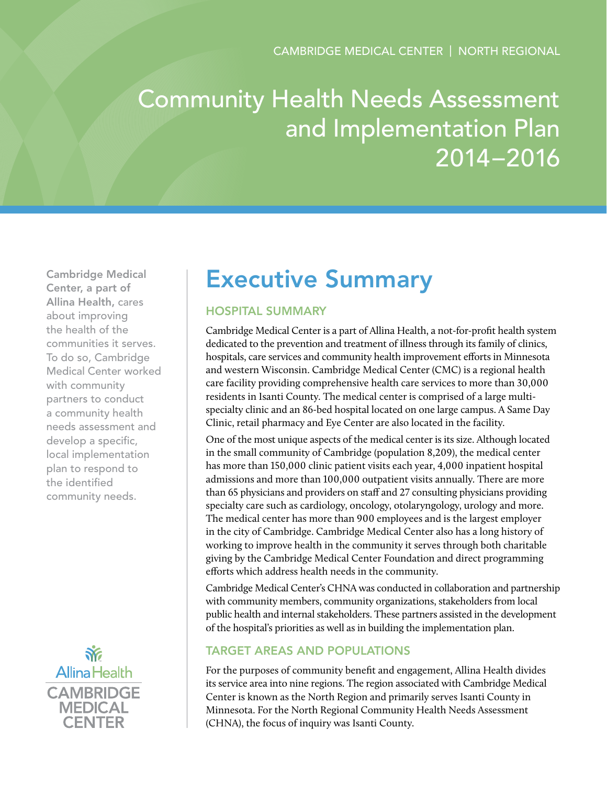# Community Health Needs Assessment and Implementation Plan 2014–2016

Cambridge Medical Center, a part of Allina Health, cares about improving the health of the communities it serves. To do so, Cambridge Medical Center worked with community partners to conduct a community health needs assessment and develop a specific, local implementation plan to respond to the identified community needs.



# Executive Summary

# Hospital Summary

Cambridge Medical Center is a part of Allina Health, a not-for-profit health system dedicated to the prevention and treatment of illness through its family of clinics, hospitals, care services and community health improvement efforts in Minnesota and western Wisconsin. Cambridge Medical Center (CMC) is a regional health care facility providing comprehensive health care services to more than 30,000 residents in Isanti County. The medical center is comprised of a large multispecialty clinic and an 86-bed hospital located on one large campus. A Same Day Clinic, retail pharmacy and Eye Center are also located in the facility.

One of the most unique aspects of the medical center is its size. Although located in the small community of Cambridge (population 8,209), the medical center has more than 150,000 clinic patient visits each year, 4,000 inpatient hospital admissions and more than 100,000 outpatient visits annually. There are more than 65 physicians and providers on staff and 27 consulting physicians providing specialty care such as cardiology, oncology, otolaryngology, urology and more. The medical center has more than 900 employees and is the largest employer in the city of Cambridge. Cambridge Medical Center also has a long history of working to improve health in the community it serves through both charitable giving by the Cambridge Medical Center Foundation and direct programming efforts which address health needs in the community.

Cambridge Medical Center's CHNA was conducted in collaboration and partnership with community members, community organizations, stakeholders from local public health and internal stakeholders. These partners assisted in the development of the hospital's priorities as well as in building the implementation plan.

# Target Areas and Populations

For the purposes of community benefit and engagement, Allina Health divides its service area into nine regions. The region associated with Cambridge Medical Center is known as the North Region and primarily serves Isanti County in Minnesota. For the North Regional Community Health Needs Assessment (CHNA), the focus of inquiry was Isanti County.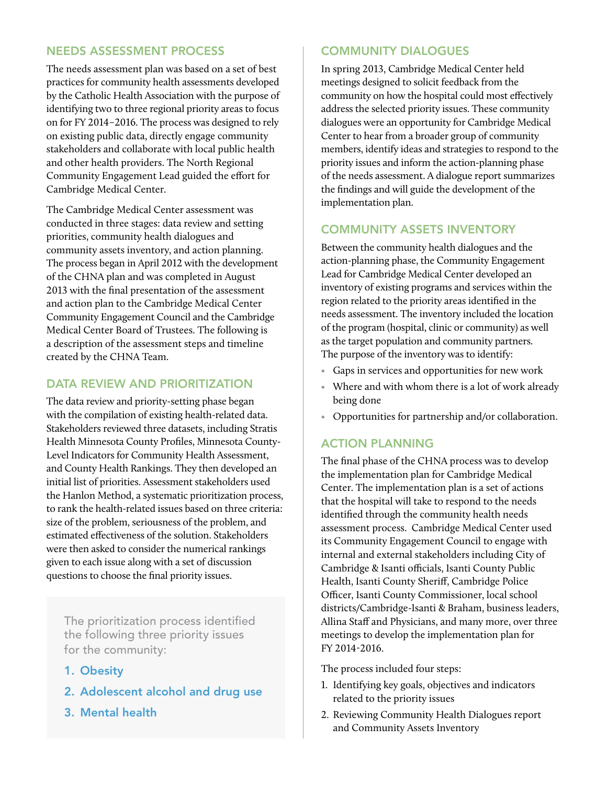#### Needs Assessment Process

The needs assessment plan was based on a set of best practices for community health assessments developed by the Catholic Health Association with the purpose of identifying two to three regional priority areas to focus on for FY 2014–2016. The process was designed to rely on existing public data, directly engage community stakeholders and collaborate with local public health and other health providers. The North Regional Community Engagement Lead guided the effort for Cambridge Medical Center.

The Cambridge Medical Center assessment was conducted in three stages: data review and setting priorities, community health dialogues and community assets inventory, and action planning. The process began in April 2012 with the development of the CHNA plan and was completed in August 2013 with the final presentation of the assessment and action plan to the Cambridge Medical Center Community Engagement Council and the Cambridge Medical Center Board of Trustees. The following is a description of the assessment steps and timeline created by the CHNA Team.

# DATA REVIEW AND PRIORITIZATION

The data review and priority-setting phase began with the compilation of existing health-related data. Stakeholders reviewed three datasets, including Stratis Health Minnesota County Profiles, Minnesota County-Level Indicators for Community Health Assessment, and County Health Rankings. They then developed an initial list of priorities. Assessment stakeholders used the Hanlon Method, a systematic prioritization process, to rank the health-related issues based on three criteria: size of the problem, seriousness of the problem, and estimated effectiveness of the solution. Stakeholders were then asked to consider the numerical rankings given to each issue along with a set of discussion questions to choose the final priority issues.

The prioritization process identified the following three priority issues for the community:

- 1. Obesity
- 2. Adolescent alcohol and drug use
- 3. Mental health

# Community Dialogues

In spring 2013, Cambridge Medical Center held meetings designed to solicit feedback from the community on how the hospital could most effectively address the selected priority issues. These community dialogues were an opportunity for Cambridge Medical Center to hear from a broader group of community members, identify ideas and strategies to respond to the priority issues and inform the action-planning phase of the needs assessment. A dialogue report summarizes the findings and will guide the development of the implementation plan.

# Community Assets Inventory

Between the community health dialogues and the action-planning phase, the Community Engagement Lead for Cambridge Medical Center developed an inventory of existing programs and services within the region related to the priority areas identified in the needs assessment. The inventory included the location of the program (hospital, clinic or community) as well as the target population and community partners. The purpose of the inventory was to identify:

- Gaps in services and opportunities for new work
- Where and with whom there is a lot of work already being done
- Opportunities for partnership and/or collaboration.

## Action Planning

The final phase of the CHNA process was to develop the implementation plan for Cambridge Medical Center. The implementation plan is a set of actions that the hospital will take to respond to the needs identified through the community health needs assessment process. Cambridge Medical Center used its Community Engagement Council to engage with internal and external stakeholders including City of Cambridge & Isanti officials, Isanti County Public Health, Isanti County Sheriff, Cambridge Police Officer, Isanti County Commissioner, local school districts/Cambridge-Isanti & Braham, business leaders, Allina Staff and Physicians, and many more, over three meetings to develop the implementation plan for FY 2014-2016.

The process included four steps:

- 1. Identifying key goals, objectives and indicators related to the priority issues
- 2. Reviewing Community Health Dialogues report and Community Assets Inventory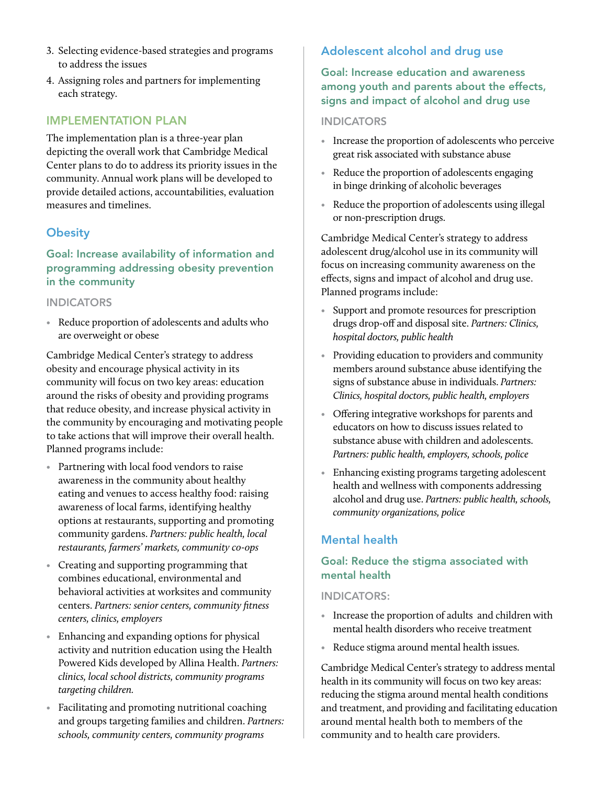- 3. Selecting evidence-based strategies and programs to address the issues
- 4. Assigning roles and partners for implementing each strategy.

#### Implementation Plan

The implementation plan is a three-year plan depicting the overall work that Cambridge Medical Center plans to do to address its priority issues in the community. Annual work plans will be developed to provide detailed actions, accountabilities, evaluation measures and timelines.

## **Obesity**

Goal: Increase availability of information and programming addressing obesity prevention in the community

#### **INDICATORS**

• Reduce proportion of adolescents and adults who are overweight or obese

Cambridge Medical Center's strategy to address obesity and encourage physical activity in its community will focus on two key areas: education around the risks of obesity and providing programs that reduce obesity, and increase physical activity in the community by encouraging and motivating people to take actions that will improve their overall health. Planned programs include:

- Partnering with local food vendors to raise awareness in the community about healthy eating and venues to access healthy food: raising awareness of local farms, identifying healthy options at restaurants, supporting and promoting community gardens. *Partners: public health, local restaurants, farmers' markets, community co-ops*
- Creating and supporting programming that combines educational, environmental and behavioral activities at worksites and community centers. *Partners: senior centers, community fitness centers, clinics, employers*
- Enhancing and expanding options for physical activity and nutrition education using the Health Powered Kids developed by Allina Health. *Partners: clinics, local school districts, community programs targeting children.*
- Facilitating and promoting nutritional coaching and groups targeting families and children. *Partners: schools, community centers, community programs*

# Adolescent alcohol and drug use

## Goal: Increase education and awareness among youth and parents about the effects, signs and impact of alcohol and drug use

#### **INDICATORS**

- Increase the proportion of adolescents who perceive great risk associated with substance abuse
- Reduce the proportion of adolescents engaging in binge drinking of alcoholic beverages
- Reduce the proportion of adolescents using illegal or non-prescription drugs.

Cambridge Medical Center's strategy to address adolescent drug/alcohol use in its community will focus on increasing community awareness on the effects, signs and impact of alcohol and drug use. Planned programs include:

- Support and promote resources for prescription drugs drop-off and disposal site. *Partners: Clinics, hospital doctors, public health*
- Providing education to providers and community members around substance abuse identifying the signs of substance abuse in individuals. *Partners: Clinics, hospital doctors, public health, employers*
- Offering integrative workshops for parents and educators on how to discuss issues related to substance abuse with children and adolescents. *Partners: public health, employers, schools, police*
- Enhancing existing programs targeting adolescent health and wellness with components addressing alcohol and drug use. *Partners: public health, schools, community organizations, police*

#### Mental health

#### Goal: Reduce the stigma associated with mental health

#### Indicators:

- Increase the proportion of adults and children with mental health disorders who receive treatment
- Reduce stigma around mental health issues.

Cambridge Medical Center's strategy to address mental health in its community will focus on two key areas: reducing the stigma around mental health conditions and treatment, and providing and facilitating education around mental health both to members of the community and to health care providers.